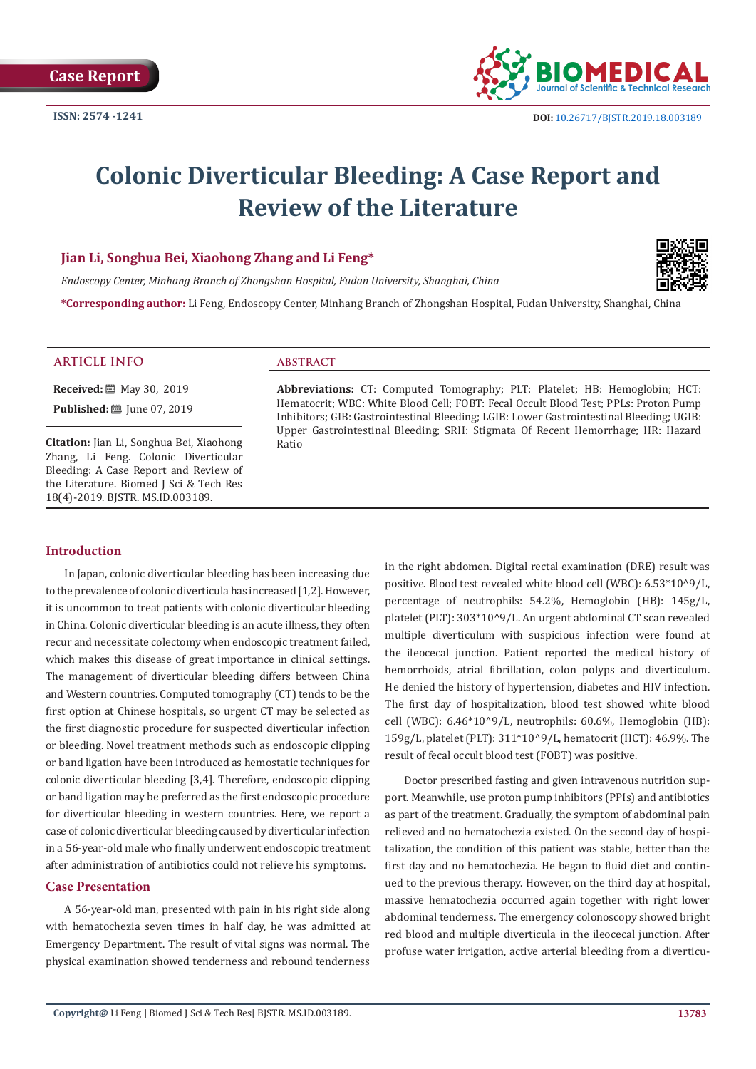

# **Colonic Diverticular Bleeding: A Case Report and Review of the Literature**

# **Jian Li, Songhua Bei, Xiaohong Zhang and Li Feng\***

*Endoscopy Center, Minhang Branch of Zhongshan Hospital, Fudan University, Shanghai, China*



**\*Corresponding author:** Li Feng, Endoscopy Center, Minhang Branch of Zhongshan Hospital, Fudan University, Shanghai, China

#### **ARTICLE INFO abstract**

**Received:** 圖 May 30, 2019

**Published:** ■ June 07, 2019

**Citation:** Jian Li, Songhua Bei, Xiaohong Zhang, Li Feng. Colonic Diverticular Bleeding: A Case Report and Review of the Literature. Biomed J Sci & Tech Res 18(4)-2019. BJSTR. MS.ID.003189.

**Abbreviations:** CT: Computed Tomography; PLT: Platelet; HB: Hemoglobin; HCT: Hematocrit; WBC: White Blood Cell; FOBT: Fecal Occult Blood Test; PPLs: Proton Pump Inhibitors; GIB: Gastrointestinal Bleeding; LGIB: Lower Gastrointestinal Bleeding; UGIB: Upper Gastrointestinal Bleeding; SRH: Stigmata Of Recent Hemorrhage; HR: Hazard Ratio

#### **Introduction**

In Japan, colonic diverticular bleeding has been increasing due to the prevalence of colonic diverticula has increased [1,2]. However, it is uncommon to treat patients with colonic diverticular bleeding in China. Colonic diverticular bleeding is an acute illness, they often recur and necessitate colectomy when endoscopic treatment failed, which makes this disease of great importance in clinical settings. The management of diverticular bleeding differs between China and Western countries. Computed tomography (CT) tends to be the first option at Chinese hospitals, so urgent CT may be selected as the first diagnostic procedure for suspected diverticular infection or bleeding. Novel treatment methods such as endoscopic clipping or band ligation have been introduced as hemostatic techniques for colonic diverticular bleeding [3,4]. Therefore, endoscopic clipping or band ligation may be preferred as the first endoscopic procedure for diverticular bleeding in western countries. Here, we report a case of colonic diverticular bleeding caused by diverticular infection in a 56-year-old male who finally underwent endoscopic treatment after administration of antibiotics could not relieve his symptoms.

#### **Case Presentation**

A 56-year-old man, presented with pain in his right side along with hematochezia seven times in half day, he was admitted at Emergency Department. The result of vital signs was normal. The physical examination showed tenderness and rebound tenderness

in the right abdomen. Digital rectal examination (DRE) result was positive. Blood test revealed white blood cell (WBC): 6.53\*10^9/L, percentage of neutrophils: 54.2%, Hemoglobin (HB): 145g/L, platelet (PLT): 303\*10^9/L. An urgent abdominal CT scan revealed multiple diverticulum with suspicious infection were found at the ileocecal junction. Patient reported the medical history of hemorrhoids, atrial fibrillation, colon polyps and diverticulum. He denied the history of hypertension, diabetes and HIV infection. The first day of hospitalization, blood test showed white blood cell (WBC): 6.46\*10^9/L, neutrophils: 60.6%, Hemoglobin (HB): 159g/L, platelet (PLT): 311\*10^9/L, hematocrit (HCT): 46.9%. The result of fecal occult blood test (FOBT) was positive.

Doctor prescribed fasting and given intravenous nutrition support. Meanwhile, use proton pump inhibitors (PPIs) and antibiotics as part of the treatment. Gradually, the symptom of abdominal pain relieved and no hematochezia existed. On the second day of hospitalization, the condition of this patient was stable, better than the first day and no hematochezia. He began to fluid diet and continued to the previous therapy. However, on the third day at hospital, massive hematochezia occurred again together with right lower abdominal tenderness. The emergency colonoscopy showed bright red blood and multiple diverticula in the ileocecal junction. After profuse water irrigation, active arterial bleeding from a diverticu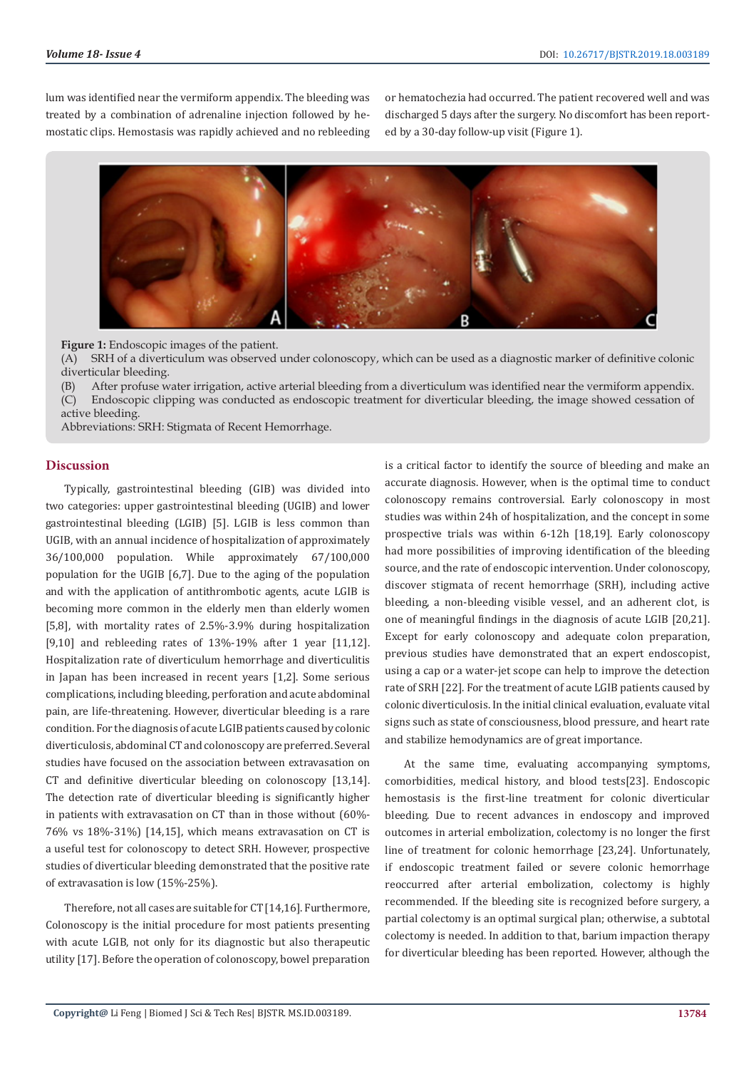lum was identified near the vermiform appendix. The bleeding was treated by a combination of adrenaline injection followed by hemostatic clips. Hemostasis was rapidly achieved and no rebleeding or hematochezia had occurred. The patient recovered well and was discharged 5 days after the surgery. No discomfort has been reported by a 30-day follow-up visit (Figure 1).



**Figure 1:** Endoscopic images of the patient.

(A) SRH of a diverticulum was observed under colonoscopy, which can be used as a diagnostic marker of definitive colonic diverticular bleeding.

(B) After profuse water irrigation, active arterial bleeding from a diverticulum was identified near the vermiform appendix. (C) Endoscopic clipping was conducted as endoscopic treatment for diverticular bleeding, the image showed cessation of active bleeding.

Abbreviations: SRH: Stigmata of Recent Hemorrhage.

## **Discussion**

Typically, gastrointestinal bleeding (GIB) was divided into two categories: upper gastrointestinal bleeding (UGIB) and lower gastrointestinal bleeding (LGIB) [5]. LGIB is less common than UGIB, with an annual incidence of hospitalization of approximately 36/100,000 population. While approximately 67/100,000 population for the UGIB [6,7]. Due to the aging of the population and with the application of antithrombotic agents, acute LGIB is becoming more common in the elderly men than elderly women [5,8], with mortality rates of 2.5%-3.9% during hospitalization [9,10] and rebleeding rates of 13%-19% after 1 year [11,12]. Hospitalization rate of diverticulum hemorrhage and diverticulitis in Japan has been increased in recent years [1,2]. Some serious complications, including bleeding, perforation and acute abdominal pain, are life-threatening. However, diverticular bleeding is a rare condition. For the diagnosis of acute LGIB patients caused by colonic diverticulosis, abdominal CT and colonoscopy are preferred. Several studies have focused on the association between extravasation on CT and definitive diverticular bleeding on colonoscopy [13,14]. The detection rate of diverticular bleeding is significantly higher in patients with extravasation on CT than in those without (60%- 76% vs 18%-31%) [14,15], which means extravasation on CT is a useful test for colonoscopy to detect SRH. However, prospective studies of diverticular bleeding demonstrated that the positive rate of extravasation is low (15%-25%).

Therefore, not all cases are suitable for CT [14,16]. Furthermore, Colonoscopy is the initial procedure for most patients presenting with acute LGIB, not only for its diagnostic but also therapeutic utility [17]. Before the operation of colonoscopy, bowel preparation

is a critical factor to identify the source of bleeding and make an accurate diagnosis. However, when is the optimal time to conduct colonoscopy remains controversial. Early colonoscopy in most studies was within 24h of hospitalization, and the concept in some prospective trials was within 6-12h [18,19]. Early colonoscopy had more possibilities of improving identification of the bleeding source, and the rate of endoscopic intervention. Under colonoscopy, discover stigmata of recent hemorrhage (SRH), including active bleeding, a non-bleeding visible vessel, and an adherent clot, is one of meaningful findings in the diagnosis of acute LGIB [20,21]. Except for early colonoscopy and adequate colon preparation, previous studies have demonstrated that an expert endoscopist, using a cap or a water-jet scope can help to improve the detection rate of SRH [22]. For the treatment of acute LGIB patients caused by colonic diverticulosis. In the initial clinical evaluation, evaluate vital signs such as state of consciousness, blood pressure, and heart rate and stabilize hemodynamics are of great importance.

At the same time, evaluating accompanying symptoms, comorbidities, medical history, and blood tests[23]. Endoscopic hemostasis is the first-line treatment for colonic diverticular bleeding. Due to recent advances in endoscopy and improved outcomes in arterial embolization, colectomy is no longer the first line of treatment for colonic hemorrhage [23,24]. Unfortunately, if endoscopic treatment failed or severe colonic hemorrhage reoccurred after arterial embolization, colectomy is highly recommended. If the bleeding site is recognized before surgery, a partial colectomy is an optimal surgical plan; otherwise, a subtotal colectomy is needed. In addition to that, barium impaction therapy for diverticular bleeding has been reported. However, although the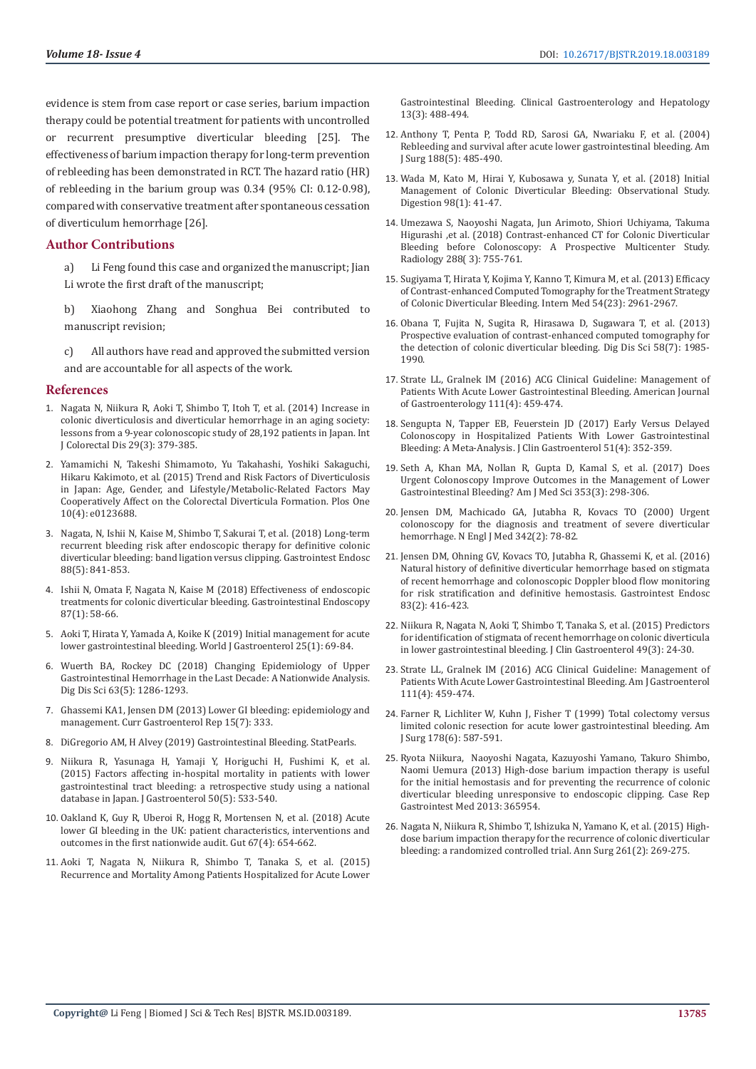evidence is stem from case report or case series, barium impaction therapy could be potential treatment for patients with uncontrolled or recurrent presumptive diverticular bleeding [25]. The effectiveness of barium impaction therapy for long-term prevention of rebleeding has been demonstrated in RCT. The hazard ratio (HR) of rebleeding in the barium group was 0.34 (95% CI: 0.12-0.98), compared with conservative treatment after spontaneous cessation of diverticulum hemorrhage [26].

## **Author Contributions**

a) Li Feng found this case and organized the manuscript; Jian Li wrote the first draft of the manuscript;

b) Xiaohong Zhang and Songhua Bei contributed to manuscript revision;

c) All authors have read and approved the submitted version and are accountable for all aspects of the work.

#### **References**

- 1. [Nagata N, Niikura R, Aoki T, Shimbo T, Itoh T, et al. \(2014\) Increase in](https://www.ncbi.nlm.nih.gov/pubmed/24317937)  [colonic diverticulosis and diverticular hemorrhage in an aging society:](https://www.ncbi.nlm.nih.gov/pubmed/24317937)  [lessons from a 9-year colonoscopic study of 28,192 patients in Japan. Int](https://www.ncbi.nlm.nih.gov/pubmed/24317937)  [J Colorectal Dis 29\(3\): 379-385.](https://www.ncbi.nlm.nih.gov/pubmed/24317937)
- 2. [Yamamichi N, Takeshi Shimamoto, Yu Takahashi, Yoshiki Sakaguchi,](https://www.ncbi.nlm.nih.gov/pmc/articles/PMC4393308/)  [Hikaru Kakimoto, et al. \(2015\) Trend and Risk Factors of Diverticulosis](https://www.ncbi.nlm.nih.gov/pmc/articles/PMC4393308/)  [in Japan: Age, Gender, and Lifestyle/Metabolic-Related Factors May](https://www.ncbi.nlm.nih.gov/pmc/articles/PMC4393308/)  [Cooperatively Affect on the Colorectal Diverticula Formation. Plos One](https://www.ncbi.nlm.nih.gov/pmc/articles/PMC4393308/)  [10\(4\): e0123688.](https://www.ncbi.nlm.nih.gov/pmc/articles/PMC4393308/)
- 3. [Nagata, N, Ishii N, Kaise M, Shimbo T, Sakurai T, et al. \(2018\) Long-term](https://www.ncbi.nlm.nih.gov/pubmed/30036505)  [recurrent bleeding risk after endoscopic therapy for definitive colonic](https://www.ncbi.nlm.nih.gov/pubmed/30036505)  [diverticular bleeding: band ligation versus clipping. Gastrointest Endosc](https://www.ncbi.nlm.nih.gov/pubmed/30036505)  [88\(5\): 841-853.](https://www.ncbi.nlm.nih.gov/pubmed/30036505)
- 4. [Ishii N, Omata F, Nagata N, Kaise M \(2018\) Effectiveness of endoscopic](https://www.ncbi.nlm.nih.gov/pubmed/28843587)  [treatments for colonic diverticular bleeding. Gastrointestinal Endoscopy](https://www.ncbi.nlm.nih.gov/pubmed/28843587)  [87\(1\): 58-66.](https://www.ncbi.nlm.nih.gov/pubmed/28843587)
- 5. [Aoki T, Hirata Y, Yamada A, Koike K \(2019\) Initial management for acute](https://www.ncbi.nlm.nih.gov/pubmed/30643359)  [lower gastrointestinal bleeding. World J Gastroenterol 25\(1\): 69-84.](https://www.ncbi.nlm.nih.gov/pubmed/30643359)
- 6. [Wuerth BA, Rockey DC \(2018\) Changing Epidemiology of Upper](https://www.ncbi.nlm.nih.gov/pubmed/29282637)  [Gastrointestinal Hemorrhage in the Last Decade: A Nationwide Analysis.](https://www.ncbi.nlm.nih.gov/pubmed/29282637)  [Dig Dis Sci 63\(5\): 1286-1293.](https://www.ncbi.nlm.nih.gov/pubmed/29282637)
- 7. [Ghassemi KA1, Jensen DM \(2013\) Lower GI bleeding: epidemiology and](https://www.ncbi.nlm.nih.gov/pubmed/23737154)  [management. Curr Gastroenterol Rep 15\(7\): 333.](https://www.ncbi.nlm.nih.gov/pubmed/23737154)
- 8. [DiGregorio AM, H Alvey \(2019\) Gastrointestinal Bleeding. StatPearls.](https://www.ncbi.nlm.nih.gov/books/NBK537291/)
- 9. [Niikura R, Yasunaga H, Yamaji Y, Horiguchi H, Fushimi K, et al.](https://www.ncbi.nlm.nih.gov/pubmed/25181990)  [\(2015\) Factors affecting in-hospital mortality in patients with lower](https://www.ncbi.nlm.nih.gov/pubmed/25181990)  [gastrointestinal tract bleeding: a retrospective study using a national](https://www.ncbi.nlm.nih.gov/pubmed/25181990)  [database in Japan. J Gastroenterol 50\(5\): 533-540.](https://www.ncbi.nlm.nih.gov/pubmed/25181990)
- 10. [Oakland K, Guy R, Uberoi R, Hogg R, Mortensen N, et al. \(2018\) Acute](https://www.ncbi.nlm.nih.gov/pubmed/28148540)  [lower GI bleeding in the UK: patient characteristics, interventions and](https://www.ncbi.nlm.nih.gov/pubmed/28148540)  [outcomes in the first nationwide audit. Gut 67\(4\): 654-662.](https://www.ncbi.nlm.nih.gov/pubmed/28148540)
- 11. [Aoki T, Nagata N, Niikura R, Shimbo T, Tanaka S, et al. \(2015\)](https://www.ncbi.nlm.nih.gov/pubmed/24997327)  [Recurrence and Mortality Among Patients Hospitalized for Acute Lower](https://www.ncbi.nlm.nih.gov/pubmed/24997327)

[Gastrointestinal Bleeding. Clinical Gastroenterology and Hepatology](https://www.ncbi.nlm.nih.gov/pubmed/24997327) [13\(3\): 488-494.](https://www.ncbi.nlm.nih.gov/pubmed/24997327)

- 12. [Anthony T, Penta P, Todd RD, Sarosi GA, Nwariaku F, et al. \(2004\)](https://www.ncbi.nlm.nih.gov/pubmed/15546555) [Rebleeding and survival after acute lower gastrointestinal bleeding. Am](https://www.ncbi.nlm.nih.gov/pubmed/15546555) [J Surg 188\(5\): 485-490.](https://www.ncbi.nlm.nih.gov/pubmed/15546555)
- 13. [Wada M, Kato M, Hirai Y, Kubosawa y, Sunata Y, et al. \(2018\) Initial](https://www.karger.com/Article/Abstract/487264) [Management of Colonic Diverticular Bleeding: Observational Study.](https://www.karger.com/Article/Abstract/487264) [Digestion 98\(1\): 41-47.](https://www.karger.com/Article/Abstract/487264)
- 14. [Umezawa S, Naoyoshi Nagata, Jun Arimoto, Shiori Uchiyama, Takuma](https://pubs.rsna.org/doi/10.1148/radiol.2018172910) [Higurashi ,et al. \(2018\) Contrast-enhanced CT for Colonic Diverticular](https://pubs.rsna.org/doi/10.1148/radiol.2018172910) [Bleeding before Colonoscopy: A Prospective Multicenter Study.](https://pubs.rsna.org/doi/10.1148/radiol.2018172910) [Radiology 288\( 3\): 755-761.](https://pubs.rsna.org/doi/10.1148/radiol.2018172910)
- 15. [Sugiyama T, Hirata Y, Kojima Y, Kanno T, Kimura M, et al. \(2013\) Efficacy](https://www.ncbi.nlm.nih.gov/pubmed/26631877) [of Contrast-enhanced Computed Tomography for the Treatment Strategy](https://www.ncbi.nlm.nih.gov/pubmed/26631877) [of Colonic Diverticular Bleeding. Intern Med 54\(23\): 2961-2967.](https://www.ncbi.nlm.nih.gov/pubmed/26631877)
- 16. [Obana T, Fujita N, Sugita R, Hirasawa D, Sugawara T, et al. \(2013\)](https://www.ncbi.nlm.nih.gov/pubmed/23504354) [Prospective evaluation of contrast-enhanced computed tomography for](https://www.ncbi.nlm.nih.gov/pubmed/23504354) [the detection of colonic diverticular bleeding. Dig Dis Sci 58\(7\): 1985-](https://www.ncbi.nlm.nih.gov/pubmed/23504354) [1990.](https://www.ncbi.nlm.nih.gov/pubmed/23504354)
- 17. [Strate LL, Gralnek IM \(2016\) ACG Clinical Guideline: Management of](https://www.ncbi.nlm.nih.gov/pubmed/26925883) [Patients With Acute Lower Gastrointestinal Bleeding. American Journal](https://www.ncbi.nlm.nih.gov/pubmed/26925883) [of Gastroenterology 111\(4\): 459-474.](https://www.ncbi.nlm.nih.gov/pubmed/26925883)
- 18. [Sengupta N, Tapper EB, Feuerstein JD \(2017\) Early Versus Delayed](https://www.ncbi.nlm.nih.gov/pubmed/27466163) [Colonoscopy in Hospitalized Patients With Lower Gastrointestinal](https://www.ncbi.nlm.nih.gov/pubmed/27466163) [Bleeding: A Meta-Analysis. J Clin Gastroenterol 51\(4\): 352-359.](https://www.ncbi.nlm.nih.gov/pubmed/27466163)
- 19. [Seth A, Khan MA, Nollan R, Gupta D, Kamal S, et al. \(2017\) Does](https://www.ncbi.nlm.nih.gov/pubmed/28262219) [Urgent Colonoscopy Improve Outcomes in the Management of Lower](https://www.ncbi.nlm.nih.gov/pubmed/28262219) [Gastrointestinal Bleeding? Am J Med Sci 353\(3\): 298-306.](https://www.ncbi.nlm.nih.gov/pubmed/28262219)
- 20. [Jensen DM, Machicado GA, Jutabha R, Kovacs TO \(2000\) Urgent](https://www.ncbi.nlm.nih.gov/pubmed/10631275) [colonoscopy for the diagnosis and treatment of severe diverticular](https://www.ncbi.nlm.nih.gov/pubmed/10631275) [hemorrhage. N Engl J Med 342\(2\): 78-82.](https://www.ncbi.nlm.nih.gov/pubmed/10631275)
- 21. [Jensen DM, Ohning GV, Kovacs TO, Jutabha R, Ghassemi K, et al. \(2016\)](https://www.ncbi.nlm.nih.gov/pubmed/26227931) [Natural history of definitive diverticular hemorrhage based on stigmata](https://www.ncbi.nlm.nih.gov/pubmed/26227931) [of recent hemorrhage and colonoscopic Doppler blood flow monitoring](https://www.ncbi.nlm.nih.gov/pubmed/26227931) [for risk stratification and definitive hemostasis. Gastrointest Endosc](https://www.ncbi.nlm.nih.gov/pubmed/26227931) [83\(2\): 416-423.](https://www.ncbi.nlm.nih.gov/pubmed/26227931)
- 22. [Niikura R, Nagata N, Aoki T, Shimbo T, Tanaka S, et al. \(2015\) Predictors](https://www.ncbi.nlm.nih.gov/pubmed/24859714) [for identification of stigmata of recent hemorrhage on colonic diverticula](https://www.ncbi.nlm.nih.gov/pubmed/24859714) [in lower gastrointestinal bleeding. J Clin Gastroenterol 49\(3\): 24-30.](https://www.ncbi.nlm.nih.gov/pubmed/24859714)
- 23. [Strate LL, Gralnek IM \(2016\) ACG Clinical Guideline: Management of](https://www.ncbi.nlm.nih.gov/pubmed/26925883) [Patients With Acute Lower Gastrointestinal Bleeding. Am J Gastroenterol](https://www.ncbi.nlm.nih.gov/pubmed/26925883) [111\(4\): 459-474.](https://www.ncbi.nlm.nih.gov/pubmed/26925883)
- 24. [Farner R, Lichliter W, Kuhn J, Fisher T \(1999\) Total colectomy versus](https://www.ncbi.nlm.nih.gov/pubmed/10670878) [limited colonic resection for acute lower gastrointestinal bleeding. Am](https://www.ncbi.nlm.nih.gov/pubmed/10670878) [J Surg 178\(6\): 587-591.](https://www.ncbi.nlm.nih.gov/pubmed/10670878)
- 25. [Ryota Niikura, Naoyoshi Nagata, Kazuyoshi Yamano, Takuro Shimbo,](https://www.ncbi.nlm.nih.gov/pmc/articles/PMC3665247/) [Naomi Uemura \(2013\) High-dose barium impaction therapy is useful](https://www.ncbi.nlm.nih.gov/pmc/articles/PMC3665247/) [for the initial hemostasis and for preventing the recurrence of colonic](https://www.ncbi.nlm.nih.gov/pmc/articles/PMC3665247/) [diverticular bleeding unresponsive to endoscopic clipping. Case Rep](https://www.ncbi.nlm.nih.gov/pmc/articles/PMC3665247/) [Gastrointest Med 2013: 365954.](https://www.ncbi.nlm.nih.gov/pmc/articles/PMC3665247/)
- 26. [Nagata N, Niikura R, Shimbo T, Ishizuka N, Yamano K, et al. \(2015\) High](https://www.ncbi.nlm.nih.gov/pubmed/25569028)[dose barium impaction therapy for the recurrence of colonic diverticular](https://www.ncbi.nlm.nih.gov/pubmed/25569028) [bleeding: a randomized controlled trial. Ann Surg 261\(2\): 269-275.](https://www.ncbi.nlm.nih.gov/pubmed/25569028)